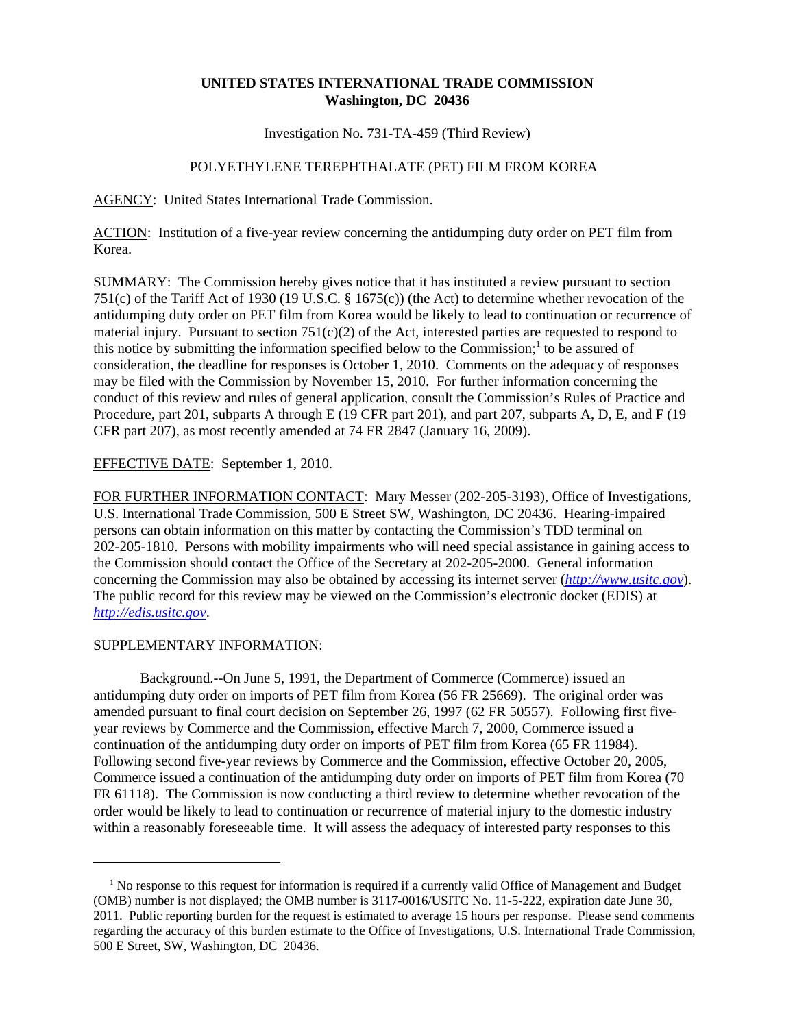# **UNITED STATES INTERNATIONAL TRADE COMMISSION Washington, DC 20436**

Investigation No. 731-TA-459 (Third Review)

# POLYETHYLENE TEREPHTHALATE (PET) FILM FROM KOREA

AGENCY: United States International Trade Commission.

ACTION: Institution of a five-year review concerning the antidumping duty order on PET film from Korea.

SUMMARY: The Commission hereby gives notice that it has instituted a review pursuant to section 751(c) of the Tariff Act of 1930 (19 U.S.C. § 1675(c)) (the Act) to determine whether revocation of the antidumping duty order on PET film from Korea would be likely to lead to continuation or recurrence of material injury. Pursuant to section  $751(c)(2)$  of the Act, interested parties are requested to respond to this notice by submitting the information specified below to the Commission;<sup>1</sup> to be assured of consideration, the deadline for responses is October 1, 2010. Comments on the adequacy of responses may be filed with the Commission by November 15, 2010. For further information concerning the conduct of this review and rules of general application, consult the Commission's Rules of Practice and Procedure, part 201, subparts A through E (19 CFR part 201), and part 207, subparts A, D, E, and F (19 CFR part 207), as most recently amended at 74 FR 2847 (January 16, 2009).

# EFFECTIVE DATE: September 1, 2010.

FOR FURTHER INFORMATION CONTACT: Mary Messer (202-205-3193), Office of Investigations, U.S. International Trade Commission, 500 E Street SW, Washington, DC 20436. Hearing-impaired persons can obtain information on this matter by contacting the Commission's TDD terminal on 202-205-1810. Persons with mobility impairments who will need special assistance in gaining access to the Commission should contact the Office of the Secretary at 202-205-2000. General information concerning the Commission may also be obtained by accessing its internet server (*http://www.usitc.gov*). The public record for this review may be viewed on the Commission's electronic docket (EDIS) at *http://edis.usitc.gov*.

#### SUPPLEMENTARY INFORMATION:

Background.--On June 5, 1991, the Department of Commerce (Commerce) issued an antidumping duty order on imports of PET film from Korea (56 FR 25669). The original order was amended pursuant to final court decision on September 26, 1997 (62 FR 50557). Following first fiveyear reviews by Commerce and the Commission, effective March 7, 2000, Commerce issued a continuation of the antidumping duty order on imports of PET film from Korea (65 FR 11984). Following second five-year reviews by Commerce and the Commission, effective October 20, 2005, Commerce issued a continuation of the antidumping duty order on imports of PET film from Korea (70 FR 61118). The Commission is now conducting a third review to determine whether revocation of the order would be likely to lead to continuation or recurrence of material injury to the domestic industry within a reasonably foreseeable time. It will assess the adequacy of interested party responses to this

<sup>&</sup>lt;sup>1</sup> No response to this request for information is required if a currently valid Office of Management and Budget (OMB) number is not displayed; the OMB number is 3117-0016/USITC No. 11-5-222, expiration date June 30, 2011. Public reporting burden for the request is estimated to average 15 hours per response. Please send comments regarding the accuracy of this burden estimate to the Office of Investigations, U.S. International Trade Commission, 500 E Street, SW, Washington, DC 20436.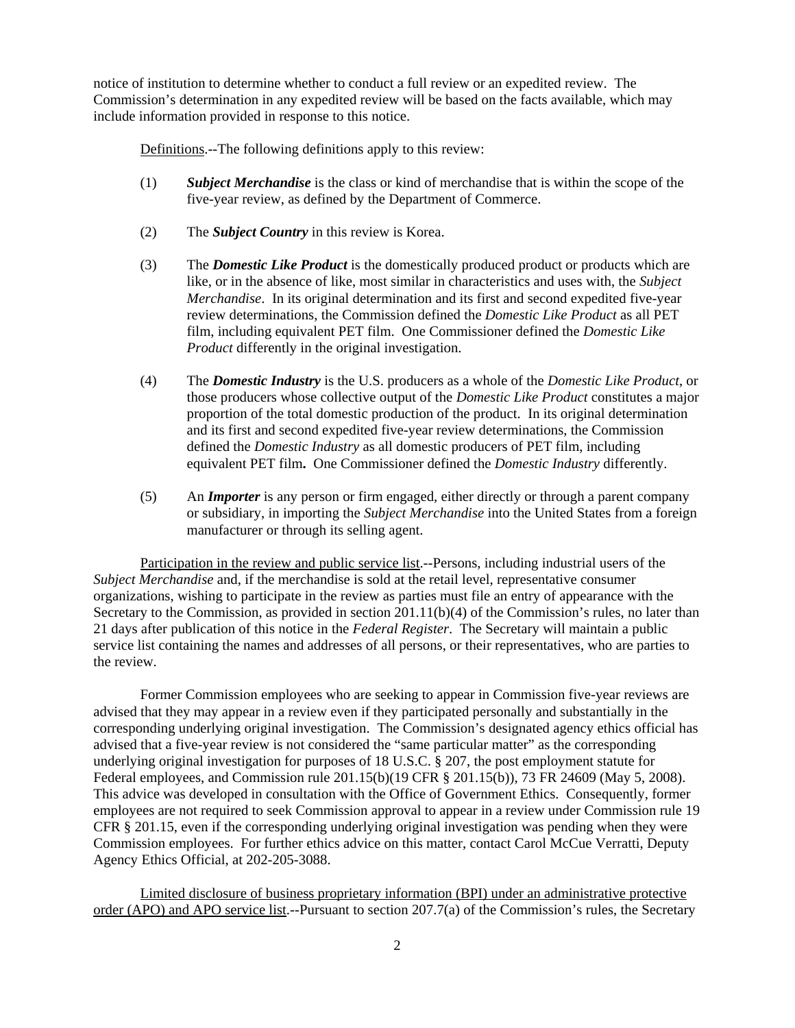notice of institution to determine whether to conduct a full review or an expedited review. The Commission's determination in any expedited review will be based on the facts available, which may include information provided in response to this notice.

Definitions.--The following definitions apply to this review:

- (1) *Subject Merchandise* is the class or kind of merchandise that is within the scope of the five-year review, as defined by the Department of Commerce.
- (2) The *Subject Country* in this review is Korea.
- (3) The *Domestic Like Product* is the domestically produced product or products which are like, or in the absence of like, most similar in characteristics and uses with, the *Subject Merchandise*. In its original determination and its first and second expedited five-year review determinations, the Commission defined the *Domestic Like Product* as all PET film, including equivalent PET film. One Commissioner defined the *Domestic Like Product* differently in the original investigation.
- (4) The *Domestic Industry* is the U.S. producers as a whole of the *Domestic Like Product*, or those producers whose collective output of the *Domestic Like Product* constitutes a major proportion of the total domestic production of the product. In its original determination and its first and second expedited five-year review determinations, the Commission defined the *Domestic Industry* as all domestic producers of PET film, including equivalent PET film**.** One Commissioner defined the *Domestic Industry* differently.
- (5) An *Importer* is any person or firm engaged, either directly or through a parent company or subsidiary, in importing the *Subject Merchandise* into the United States from a foreign manufacturer or through its selling agent.

Participation in the review and public service list.--Persons, including industrial users of the *Subject Merchandise* and, if the merchandise is sold at the retail level, representative consumer organizations, wishing to participate in the review as parties must file an entry of appearance with the Secretary to the Commission, as provided in section 201.11(b)(4) of the Commission's rules, no later than 21 days after publication of this notice in the *Federal Register*. The Secretary will maintain a public service list containing the names and addresses of all persons, or their representatives, who are parties to the review.

Former Commission employees who are seeking to appear in Commission five-year reviews are advised that they may appear in a review even if they participated personally and substantially in the corresponding underlying original investigation. The Commission's designated agency ethics official has advised that a five-year review is not considered the "same particular matter" as the corresponding underlying original investigation for purposes of 18 U.S.C. § 207, the post employment statute for Federal employees, and Commission rule 201.15(b)(19 CFR § 201.15(b)), 73 FR 24609 (May 5, 2008). This advice was developed in consultation with the Office of Government Ethics. Consequently, former employees are not required to seek Commission approval to appear in a review under Commission rule 19 CFR § 201.15, even if the corresponding underlying original investigation was pending when they were Commission employees. For further ethics advice on this matter, contact Carol McCue Verratti, Deputy Agency Ethics Official, at 202-205-3088.

Limited disclosure of business proprietary information (BPI) under an administrative protective order (APO) and APO service list.--Pursuant to section 207.7(a) of the Commission's rules, the Secretary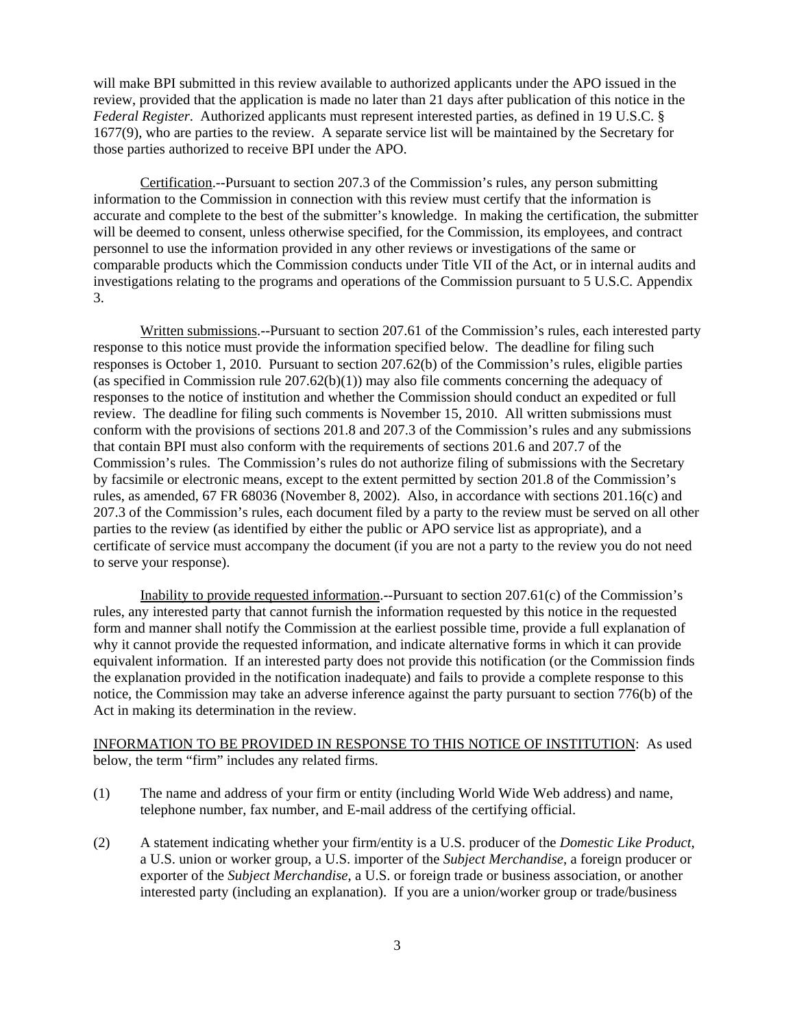will make BPI submitted in this review available to authorized applicants under the APO issued in the review, provided that the application is made no later than 21 days after publication of this notice in the *Federal Register*. Authorized applicants must represent interested parties, as defined in 19 U.S.C. § 1677(9), who are parties to the review. A separate service list will be maintained by the Secretary for those parties authorized to receive BPI under the APO.

Certification.--Pursuant to section 207.3 of the Commission's rules, any person submitting information to the Commission in connection with this review must certify that the information is accurate and complete to the best of the submitter's knowledge. In making the certification, the submitter will be deemed to consent, unless otherwise specified, for the Commission, its employees, and contract personnel to use the information provided in any other reviews or investigations of the same or comparable products which the Commission conducts under Title VII of the Act, or in internal audits and investigations relating to the programs and operations of the Commission pursuant to 5 U.S.C. Appendix 3.

Written submissions.--Pursuant to section 207.61 of the Commission's rules, each interested party response to this notice must provide the information specified below. The deadline for filing such responses is October 1, 2010. Pursuant to section 207.62(b) of the Commission's rules, eligible parties (as specified in Commission rule  $207.62(b)(1)$ ) may also file comments concerning the adequacy of responses to the notice of institution and whether the Commission should conduct an expedited or full review. The deadline for filing such comments is November 15, 2010. All written submissions must conform with the provisions of sections 201.8 and 207.3 of the Commission's rules and any submissions that contain BPI must also conform with the requirements of sections 201.6 and 207.7 of the Commission's rules. The Commission's rules do not authorize filing of submissions with the Secretary by facsimile or electronic means, except to the extent permitted by section 201.8 of the Commission's rules, as amended, 67 FR 68036 (November 8, 2002). Also, in accordance with sections 201.16(c) and 207.3 of the Commission's rules, each document filed by a party to the review must be served on all other parties to the review (as identified by either the public or APO service list as appropriate), and a certificate of service must accompany the document (if you are not a party to the review you do not need to serve your response).

Inability to provide requested information.--Pursuant to section 207.61(c) of the Commission's rules, any interested party that cannot furnish the information requested by this notice in the requested form and manner shall notify the Commission at the earliest possible time, provide a full explanation of why it cannot provide the requested information, and indicate alternative forms in which it can provide equivalent information. If an interested party does not provide this notification (or the Commission finds the explanation provided in the notification inadequate) and fails to provide a complete response to this notice, the Commission may take an adverse inference against the party pursuant to section 776(b) of the Act in making its determination in the review.

# INFORMATION TO BE PROVIDED IN RESPONSE TO THIS NOTICE OF INSTITUTION: As used below, the term "firm" includes any related firms.

- (1) The name and address of your firm or entity (including World Wide Web address) and name, telephone number, fax number, and E-mail address of the certifying official.
- (2) A statement indicating whether your firm/entity is a U.S. producer of the *Domestic Like Product*, a U.S. union or worker group, a U.S. importer of the *Subject Merchandise*, a foreign producer or exporter of the *Subject Merchandise*, a U.S. or foreign trade or business association, or another interested party (including an explanation). If you are a union/worker group or trade/business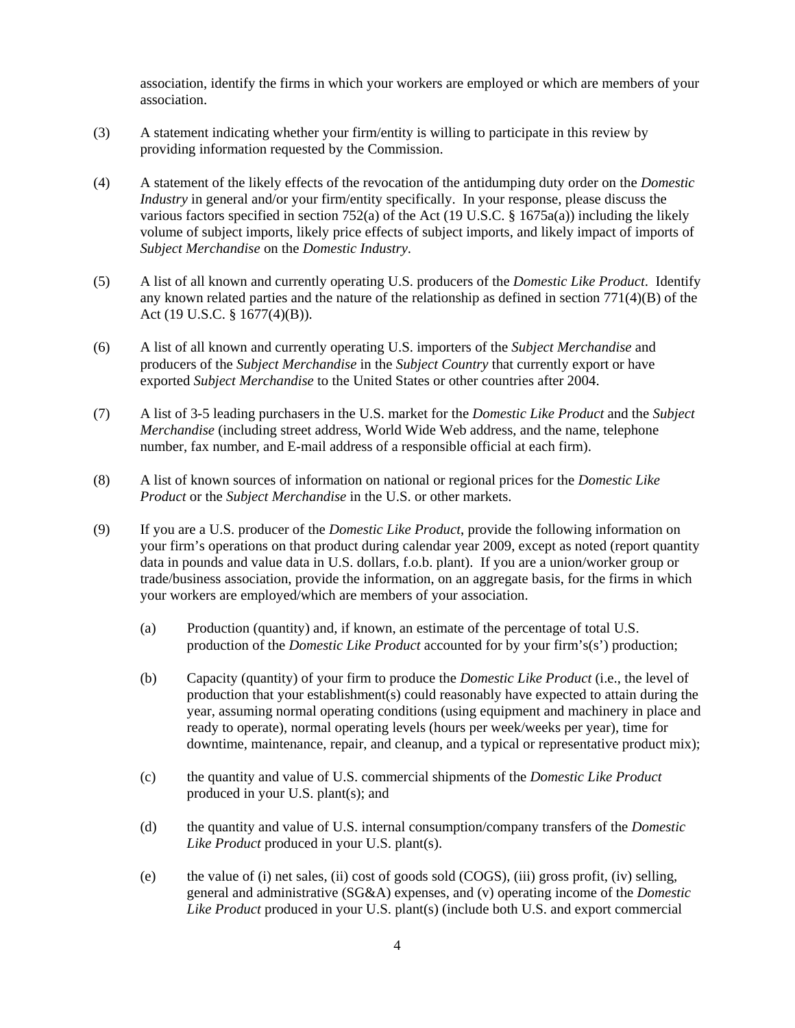association, identify the firms in which your workers are employed or which are members of your association.

- (3) A statement indicating whether your firm/entity is willing to participate in this review by providing information requested by the Commission.
- (4) A statement of the likely effects of the revocation of the antidumping duty order on the *Domestic Industry* in general and/or your firm/entity specifically. In your response, please discuss the various factors specified in section 752(a) of the Act (19 U.S.C. § 1675a(a)) including the likely volume of subject imports, likely price effects of subject imports, and likely impact of imports of *Subject Merchandise* on the *Domestic Industry*.
- (5) A list of all known and currently operating U.S. producers of the *Domestic Like Product*. Identify any known related parties and the nature of the relationship as defined in section  $771(4)(B)$  of the Act (19 U.S.C. § 1677(4)(B)).
- (6) A list of all known and currently operating U.S. importers of the *Subject Merchandise* and producers of the *Subject Merchandise* in the *Subject Country* that currently export or have exported *Subject Merchandise* to the United States or other countries after 2004.
- (7) A list of 3-5 leading purchasers in the U.S. market for the *Domestic Like Product* and the *Subject Merchandise* (including street address, World Wide Web address, and the name, telephone number, fax number, and E-mail address of a responsible official at each firm).
- (8) A list of known sources of information on national or regional prices for the *Domestic Like Product* or the *Subject Merchandise* in the U.S. or other markets.
- (9) If you are a U.S. producer of the *Domestic Like Product*, provide the following information on your firm's operations on that product during calendar year 2009, except as noted (report quantity data in pounds and value data in U.S. dollars, f.o.b. plant). If you are a union/worker group or trade/business association, provide the information, on an aggregate basis, for the firms in which your workers are employed/which are members of your association.
	- (a) Production (quantity) and, if known, an estimate of the percentage of total U.S. production of the *Domestic Like Product* accounted for by your firm's(s') production;
	- (b) Capacity (quantity) of your firm to produce the *Domestic Like Product* (i.e., the level of production that your establishment(s) could reasonably have expected to attain during the year, assuming normal operating conditions (using equipment and machinery in place and ready to operate), normal operating levels (hours per week/weeks per year), time for downtime, maintenance, repair, and cleanup, and a typical or representative product mix);
	- (c) the quantity and value of U.S. commercial shipments of the *Domestic Like Product* produced in your U.S. plant(s); and
	- (d) the quantity and value of U.S. internal consumption/company transfers of the *Domestic Like Product* produced in your U.S. plant(s).
	- (e) the value of (i) net sales, (ii) cost of goods sold (COGS), (iii) gross profit, (iv) selling, general and administrative (SG&A) expenses, and (v) operating income of the *Domestic Like Product* produced in your U.S. plant(s) (include both U.S. and export commercial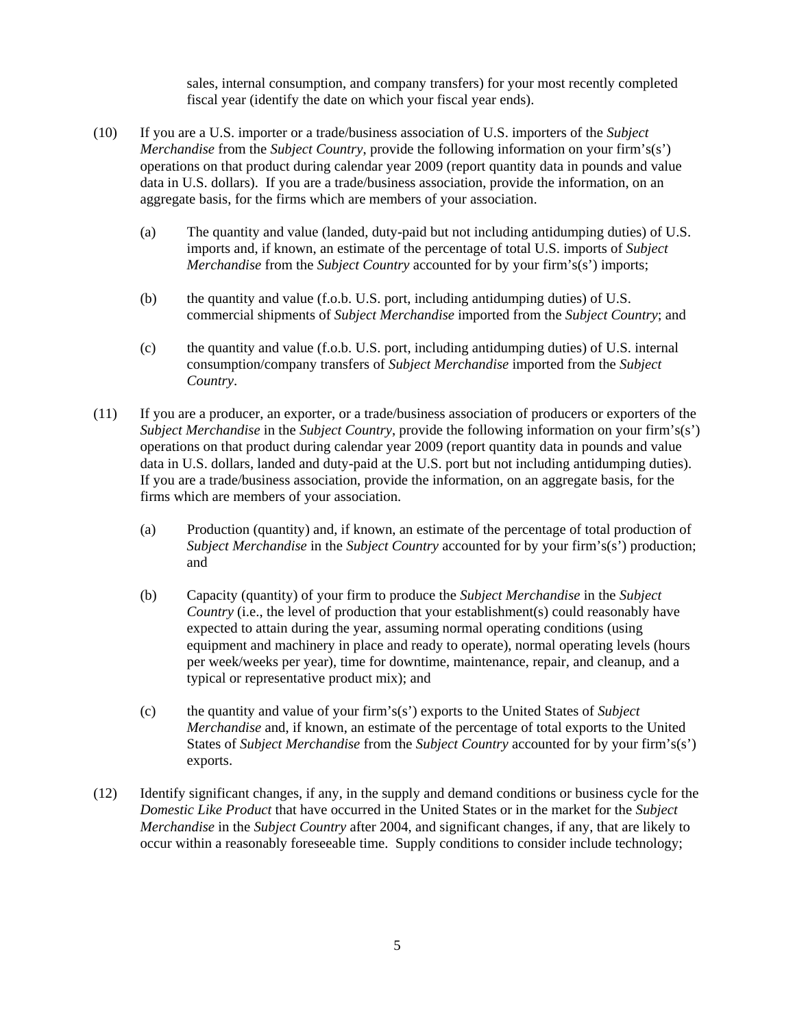sales, internal consumption, and company transfers) for your most recently completed fiscal year (identify the date on which your fiscal year ends).

- (10) If you are a U.S. importer or a trade/business association of U.S. importers of the *Subject Merchandise* from the *Subject Country*, provide the following information on your firm's(s') operations on that product during calendar year 2009 (report quantity data in pounds and value data in U.S. dollars). If you are a trade/business association, provide the information, on an aggregate basis, for the firms which are members of your association.
	- (a) The quantity and value (landed, duty-paid but not including antidumping duties) of U.S. imports and, if known, an estimate of the percentage of total U.S. imports of *Subject Merchandise* from the *Subject Country* accounted for by your firm's(s') imports;
	- (b) the quantity and value (f.o.b. U.S. port, including antidumping duties) of U.S. commercial shipments of *Subject Merchandise* imported from the *Subject Country*; and
	- (c) the quantity and value (f.o.b. U.S. port, including antidumping duties) of U.S. internal consumption/company transfers of *Subject Merchandise* imported from the *Subject Country*.
- (11) If you are a producer, an exporter, or a trade/business association of producers or exporters of the *Subject Merchandise* in the *Subject Country*, provide the following information on your firm's(s') operations on that product during calendar year 2009 (report quantity data in pounds and value data in U.S. dollars, landed and duty-paid at the U.S. port but not including antidumping duties). If you are a trade/business association, provide the information, on an aggregate basis, for the firms which are members of your association.
	- (a) Production (quantity) and, if known, an estimate of the percentage of total production of *Subject Merchandise* in the *Subject Country* accounted for by your firm's(s') production; and
	- (b) Capacity (quantity) of your firm to produce the *Subject Merchandise* in the *Subject Country* (i.e., the level of production that your establishment(s) could reasonably have expected to attain during the year, assuming normal operating conditions (using equipment and machinery in place and ready to operate), normal operating levels (hours per week/weeks per year), time for downtime, maintenance, repair, and cleanup, and a typical or representative product mix); and
	- (c) the quantity and value of your firm's(s') exports to the United States of *Subject Merchandise* and, if known, an estimate of the percentage of total exports to the United States of *Subject Merchandise* from the *Subject Country* accounted for by your firm's(s') exports.
- (12) Identify significant changes, if any, in the supply and demand conditions or business cycle for the *Domestic Like Product* that have occurred in the United States or in the market for the *Subject Merchandise* in the *Subject Country* after 2004, and significant changes, if any, that are likely to occur within a reasonably foreseeable time. Supply conditions to consider include technology;